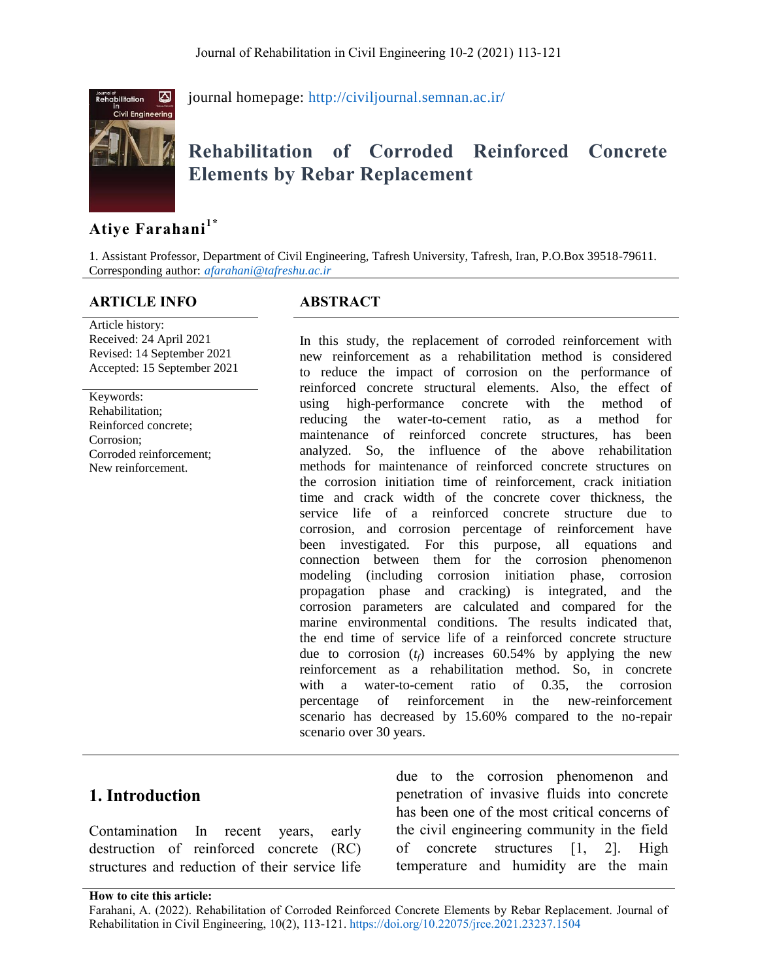

journal homepage:<http://civiljournal.semnan.ac.ir/>

# **Rehabilitation of Corroded Reinforced Concrete Elements by Rebar Replacement**

# **Atiye Farahani1\***

1. Assistant Professor, Department of Civil Engineering, Tafresh University, Tafresh, Iran, P.O.Box 39518-79611. Corresponding author: *[afarahani@tafreshu.ac.ir](mailto:afarahani@tafreshu.ac.ir)*

#### **ARTICLE INFO ABSTRACT**

Article history: Received: 24 April 2021 Revised: 14 September 2021 Accepted: 15 September 2021

Keywords: Rehabilitation; Reinforced concrete; Corrosion; Corroded reinforcement; New reinforcement.

In this study, the replacement of corroded reinforcement with new reinforcement as a rehabilitation method is considered to reduce the impact of corrosion on the performance of reinforced concrete structural elements. Also, the effect of using high-performance concrete with the method of reducing the water-to-cement ratio, as a method for maintenance of reinforced concrete structures, has been analyzed. So, the influence of the above rehabilitation methods for maintenance of reinforced concrete structures on the corrosion initiation time of reinforcement, crack initiation time and crack width of the concrete cover thickness, the service life of a reinforced concrete structure due to corrosion, and corrosion percentage of reinforcement have been investigated. For this purpose, all equations and connection between them for the corrosion phenomenon modeling (including corrosion initiation phase, corrosion propagation phase and cracking) is integrated, and the corrosion parameters are calculated and compared for the marine environmental conditions. The results indicated that, the end time of service life of a reinforced concrete structure due to corrosion  $(t_f)$  increases 60.54% by applying the new reinforcement as a rehabilitation method. So, in concrete with a water-to-cement ratio of 0.35, the corrosion percentage of reinforcement in the new-reinforcement scenario has decreased by 15.60% compared to the no-repair scenario over 30 years.

#### **1. Introduction**

Contamination In recent years, early destruction of reinforced concrete (RC) structures and reduction of their service life

due to the corrosion phenomenon and penetration of invasive fluids into concrete has been one of the most critical concerns of the civil engineering community in the field of concrete structures [1, 2]. High temperature and humidity are the main

**How to cite this article:**

Farahani, A. (2022). Rehabilitation of Corroded Reinforced Concrete Elements by Rebar Replacement. Journal of Rehabilitation in Civil Engineering, 10(2), 113-121[. https://doi.org/10.22075/jrce.2021.23237.1504](https://doi.org/10.22075/jrce.2021.23237.1504)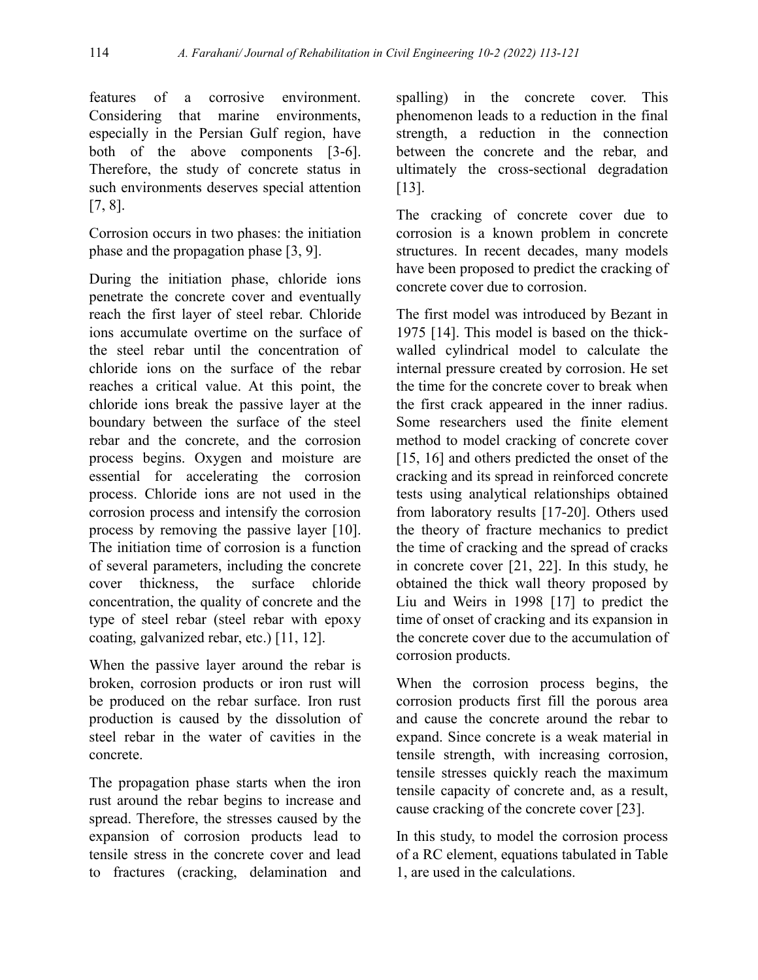features of a corrosive environment. Considering that marine environments, especially in the Persian Gulf region, have both of the above components [3-6]. Therefore, the study of concrete status in such environments deserves special attention [7, 8].

Corrosion occurs in two phases: the initiation phase and the propagation phase [3, 9].

During the initiation phase, chloride ions penetrate the concrete cover and eventually reach the first layer of steel rebar. Chloride ions accumulate overtime on the surface of the steel rebar until the concentration of chloride ions on the surface of the rebar reaches a critical value. At this point, the chloride ions break the passive layer at the boundary between the surface of the steel rebar and the concrete, and the corrosion process begins. Oxygen and moisture are essential for accelerating the corrosion process. Chloride ions are not used in the corrosion process and intensify the corrosion process by removing the passive layer [10]. The initiation time of corrosion is a function of several parameters, including the concrete cover thickness, the surface chloride concentration, the quality of concrete and the type of steel rebar (steel rebar with epoxy coating, galvanized rebar, etc.) [11, 12].

When the passive layer around the rebar is broken, corrosion products or iron rust will be produced on the rebar surface. Iron rust production is caused by the dissolution of steel rebar in the water of cavities in the concrete.

The propagation phase starts when the iron rust around the rebar begins to increase and spread. Therefore, the stresses caused by the expansion of corrosion products lead to tensile stress in the concrete cover and lead to fractures (cracking, delamination and

spalling) in the concrete cover. This phenomenon leads to a reduction in the final strength, a reduction in the connection between the concrete and the rebar, and ultimately the cross-sectional degradation [13].

The cracking of concrete cover due to corrosion is a known problem in concrete structures. In recent decades, many models have been proposed to predict the cracking of concrete cover due to corrosion.

The first model was introduced by Bezant in 1975 [14]. This model is based on the thickwalled cylindrical model to calculate the internal pressure created by corrosion. He set the time for the concrete cover to break when the first crack appeared in the inner radius. Some researchers used the finite element method to model cracking of concrete cover [15, 16] and others predicted the onset of the cracking and its spread in reinforced concrete tests using analytical relationships obtained from laboratory results [17-20]. Others used the theory of fracture mechanics to predict the time of cracking and the spread of cracks in concrete cover [21, 22]. In this study, he obtained the thick wall theory proposed by Liu and Weirs in 1998 [17] to predict the time of onset of cracking and its expansion in the concrete cover due to the accumulation of corrosion products.

When the corrosion process begins, the corrosion products first fill the porous area and cause the concrete around the rebar to expand. Since concrete is a weak material in tensile strength, with increasing corrosion, tensile stresses quickly reach the maximum tensile capacity of concrete and, as a result, cause cracking of the concrete cover [23].

In this study, to model the corrosion process of a RC element, equations tabulated in Table 1, are used in the calculations.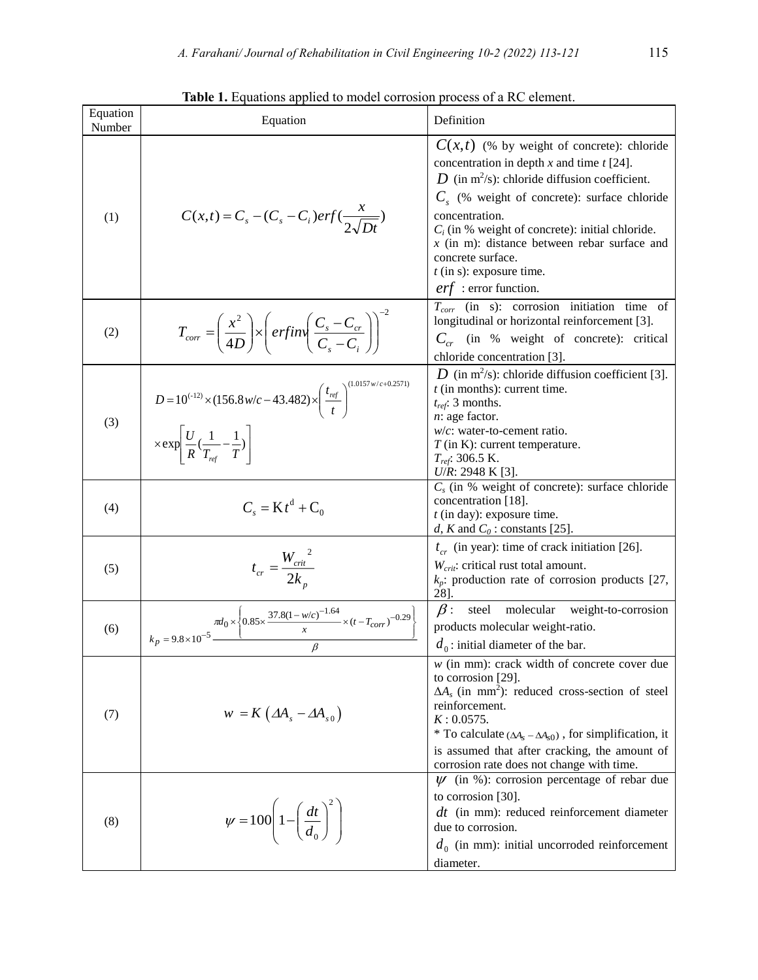| Equation<br>Number | Equation                                                                                                                                                                         | Definition                                                                                                                                                                                                                                                                                                                                                                                                  |  |  |
|--------------------|----------------------------------------------------------------------------------------------------------------------------------------------------------------------------------|-------------------------------------------------------------------------------------------------------------------------------------------------------------------------------------------------------------------------------------------------------------------------------------------------------------------------------------------------------------------------------------------------------------|--|--|
| (1)                | $C(x,t) = C_s - (C_s - C_i)erf(\frac{\lambda}{2\sqrt{Dt}})$                                                                                                                      | $C(x,t)$ (% by weight of concrete): chloride<br>concentration in depth $x$ and time $t$ [24].<br>D (in $m^2/s$ ): chloride diffusion coefficient.<br>$C_s$ (% weight of concrete): surface chloride<br>concentration.<br>$C_i$ (in % weight of concrete): initial chloride.<br>$x$ (in m): distance between rebar surface and<br>concrete surface.<br>$t$ (in s): exposure time.<br>$erf$ : error function. |  |  |
| (2)                | $T_{corr} = \left(\frac{x^2}{4D}\right) \times \left( \text{erfin}\left(\frac{C_s - C_{cr}}{C_s - C_{cr}}\right) \right)$                                                        | $T_{corr}$ (in s): corrosion initiation time of<br>longitudinal or horizontal reinforcement [3].<br>$C_{cr}$ (in % weight of concrete): critical<br>chloride concentration [3].                                                                                                                                                                                                                             |  |  |
| (3)                | $D = 10^{(-12)} \times (156.8 \,\text{w/c} - 43.482) \times \left(\frac{t_{ref}}{t}\right)^{(1)}$<br>$\times \exp\left[\frac{U}{R}(\frac{1}{T_{\text{ref}}}-\frac{1}{T})\right]$ | D (in m <sup>2</sup> /s): chloride diffusion coefficient [3].<br>$t$ (in months): current time.<br>$t_{ref}$ : 3 months.<br>$n$ : age factor.<br>$w/c$ : water-to-cement ratio.<br>$T$ (in K): current temperature.<br>$T_{ref}$ : 306.5 K.<br>$U/R$ : 2948 K [3].                                                                                                                                          |  |  |
| (4)                | $C_{s} = K t^{d} + C_{0}$                                                                                                                                                        | $C_s$ (in % weight of concrete): surface chloride<br>concentration [18].<br>$t$ (in day): exposure time.<br>d, K and $C_0$ : constants [25].                                                                                                                                                                                                                                                                |  |  |
| (5)                | $t_{cr} = \frac{W_{crit}^2}{2k_{\odot}}$                                                                                                                                         | $t_{cr}$ (in year): time of crack initiation [26].<br>$W_{\text{crit}}$ : critical rust total amount.<br>$k_p$ : production rate of corrosion products [27,<br>28].                                                                                                                                                                                                                                         |  |  |
| (6)                | $\frac{\pi d_0 \times \left\{ 0.85 \times \frac{37.8 (1 - w/c)^{-1.64}}{x} \times (t - T_{corr})^{-0.29} \right\}}{1}$<br>$k_p = 9.8 \times 10^{-5}$                             | $\beta$ :<br>molecular weight-to-corrosion<br>steel<br>products molecular weight-ratio.<br>$d_0$ : initial diameter of the bar.                                                                                                                                                                                                                                                                             |  |  |
| (7)                | $w = K \left( \Delta A_s - \Delta A_{s0} \right)$                                                                                                                                | $w$ (in mm): crack width of concrete cover due<br>to corrosion [29].<br>$\Delta A_s$ (in mm <sup>2</sup> ): reduced cross-section of steel<br>reinforcement.<br>$K: 0.0575$ .<br>* To calculate $(\Delta A_s - \Delta A_{s0})$ , for simplification, it<br>is assumed that after cracking, the amount of<br>corrosion rate does not change with time.                                                       |  |  |
| (8)                | $\psi = 100 \left( 1 - \left( \frac{dt}{d_0} \right)^2 \right)$                                                                                                                  | $\psi$ (in %): corrosion percentage of rebar due<br>to corrosion [30].<br>$dt$ (in mm): reduced reinforcement diameter<br>due to corrosion.<br>$d_0$ (in mm): initial uncorroded reinforcement<br>diameter.                                                                                                                                                                                                 |  |  |

Table 1. Equations applied to model corrosion process of a RC element.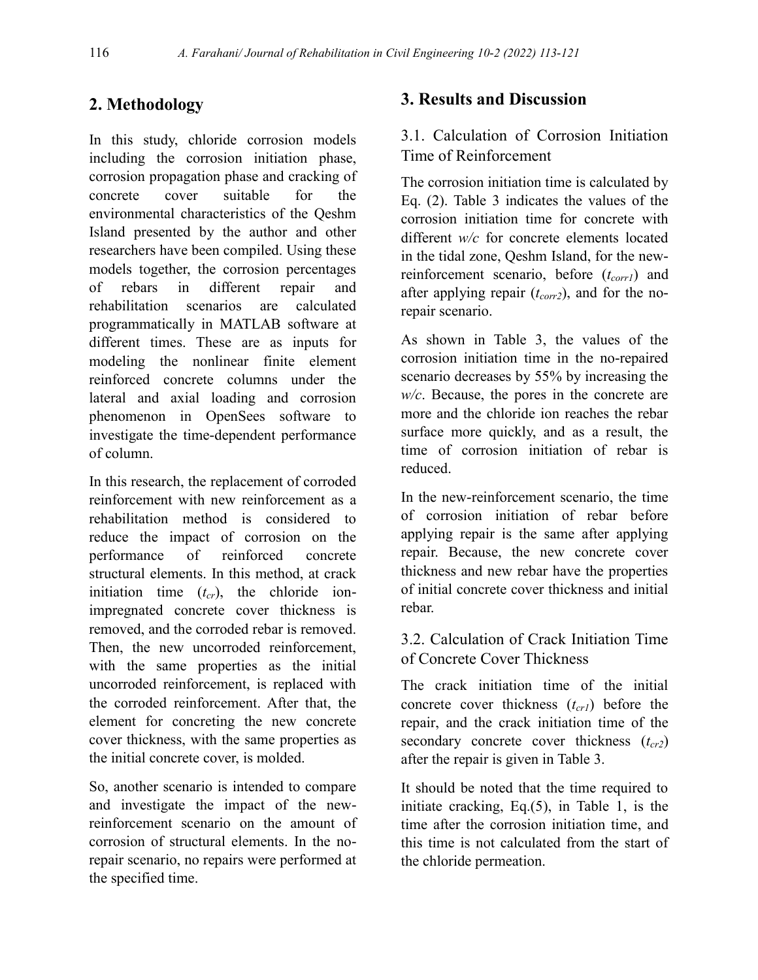# **2. Methodology**

In this study, chloride corrosion models including the corrosion initiation phase, corrosion propagation phase and cracking of concrete cover suitable for the environmental characteristics of the Qeshm Island presented by the author and other researchers have been compiled. Using these models together, the corrosion percentages of rebars in different repair and rehabilitation scenarios are calculated programmatically in MATLAB software at different times. These are as inputs for modeling the nonlinear finite element reinforced concrete columns under the lateral and axial loading and corrosion phenomenon in OpenSees software to investigate the time-dependent performance of column.

In this research, the replacement of corroded reinforcement with new reinforcement as a rehabilitation method is considered to reduce the impact of corrosion on the performance of reinforced concrete structural elements. In this method, at crack initiation time (*tcr*), the chloride ionimpregnated concrete cover thickness is removed, and the corroded rebar is removed. Then, the new uncorroded reinforcement, with the same properties as the initial uncorroded reinforcement, is replaced with the corroded reinforcement. After that, the element for concreting the new concrete cover thickness, with the same properties as the initial concrete cover, is molded.

So, another scenario is intended to compare and investigate the impact of the newreinforcement scenario on the amount of corrosion of structural elements. In the norepair scenario, no repairs were performed at the specified time.

## **3. Results and Discussion**

## 3.1. Calculation of Corrosion Initiation Time of Reinforcement

The corrosion initiation time is calculated by Eq. (2). Table 3 indicates the values of the corrosion initiation time for concrete with different *w/c* for concrete elements located in the tidal zone, Qeshm Island, for the newreinforcement scenario, before (*tcorr1*) and after applying repair (*tcorr2*), and for the norepair scenario.

As shown in Table 3, the values of the corrosion initiation time in the no-repaired scenario decreases by 55% by increasing the *w/c*. Because, the pores in the concrete are more and the chloride ion reaches the rebar surface more quickly, and as a result, the time of corrosion initiation of rebar is reduced.

In the new-reinforcement scenario, the time of corrosion initiation of rebar before applying repair is the same after applying repair. Because, the new concrete cover thickness and new rebar have the properties of initial concrete cover thickness and initial rebar.

## 3.2. Calculation of Crack Initiation Time of Concrete Cover Thickness

The crack initiation time of the initial concrete cover thickness (*tcr1*) before the repair, and the crack initiation time of the secondary concrete cover thickness (*tcr2*) after the repair is given in Table 3.

It should be noted that the time required to initiate cracking, Eq.(5), in Table 1, is the time after the corrosion initiation time, and this time is not calculated from the start of the chloride permeation.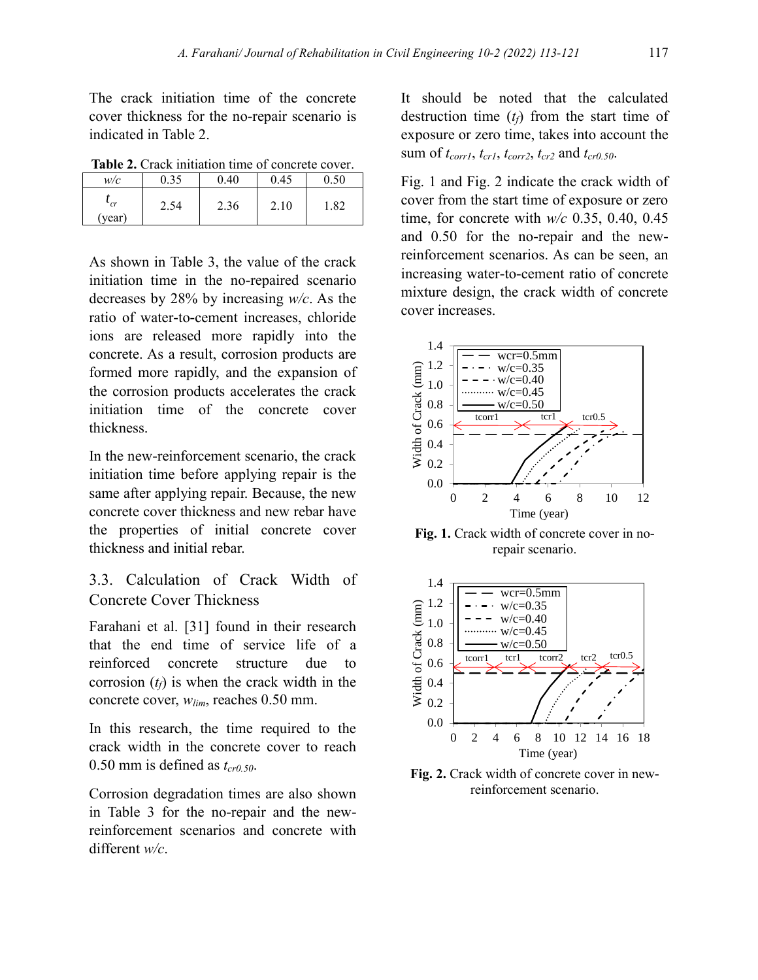The crack initiation time of the concrete cover thickness for the no-repair scenario is indicated in Table 2.

**Table 2.** Crack initiation time of concrete cover.

| w/c          | 0.35 | 0.40 | 0.45 | $_{0.50}$ |
|--------------|------|------|------|-----------|
| cr<br>(year) | 2.54 | 2.36 | 2.10 | 1.82      |

As shown in Table 3, the value of the crack initiation time in the no-repaired scenario decreases by 28% by increasing *w/c*. As the ratio of water-to-cement increases, chloride ions are released more rapidly into the concrete. As a result, corrosion products are formed more rapidly, and the expansion of the corrosion products accelerates the crack initiation time of the concrete cover thickness.

In the new-reinforcement scenario, the crack initiation time before applying repair is the same after applying repair. Because, the new concrete cover thickness and new rebar have the properties of initial concrete cover thickness and initial rebar.

#### 3.3. Calculation of Crack Width of Concrete Cover Thickness

Farahani et al. [31] found in their research that the end time of service life of a reinforced concrete structure due to corrosion  $(t_f)$  is when the crack width in the concrete cover, *wlim*, reaches 0.50 mm.

In this research, the time required to the crack width in the concrete cover to reach 0.50 mm is defined as  $t_{cr0.50}$ .

Corrosion degradation times are also shown in Table 3 for the no-repair and the newreinforcement scenarios and concrete with different *w/c*.

It should be noted that the calculated destruction time (*tf*) from the start time of exposure or zero time, takes into account the sum of  $t_{corr1}$ ,  $t_{cr1}$ ,  $t_{corr2}$ ,  $t_{cr2}$  and  $t_{cr0.50}$ .

Fig. 1 and Fig. 2 indicate the crack width of cover from the start time of exposure or zero time, for concrete with *w/c* 0.35, 0.40, 0.45 and 0.50 for the no-repair and the newreinforcement scenarios. As can be seen, an increasing water-to-cement ratio of concrete mixture design, the crack width of concrete cover increases.



**Fig. 1.** Crack width of concrete cover in norepair scenario.



**Fig. 2.** Crack width of concrete cover in newreinforcement scenario.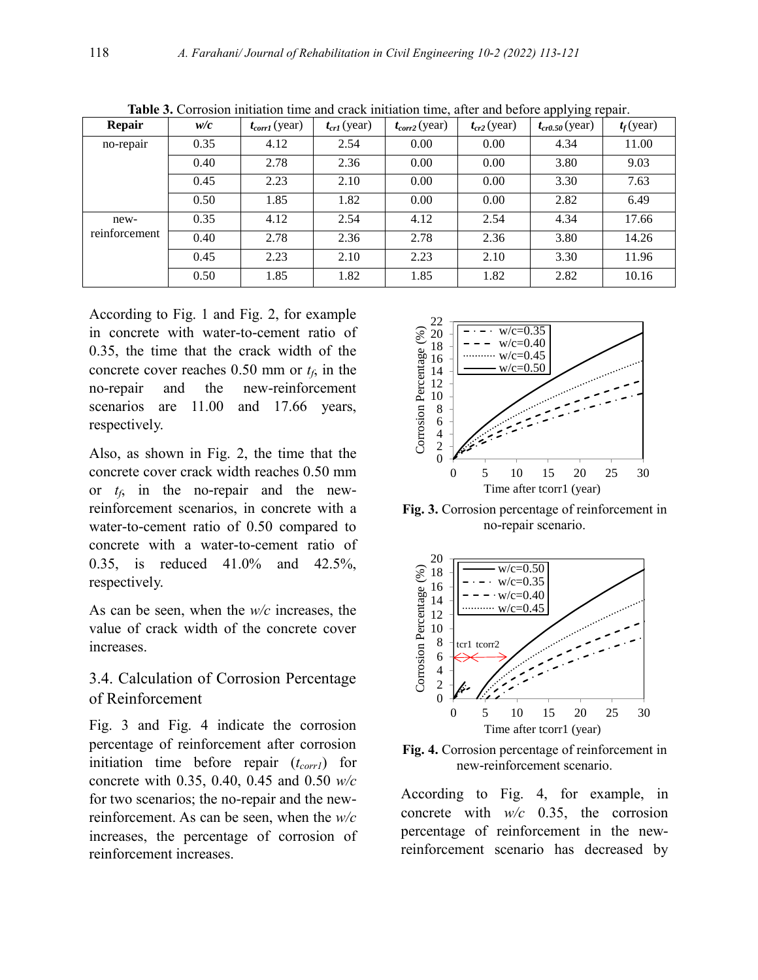| Repair        | w/c  | $t_{corr1}$ (year) | $t_{cr1}$ (year) | $t_{corr2}$ (year) | $t_{cr2}$ (year) | $\overline{\smile}$<br>$t_{cr0.50}$ (year) | $t_f$ (year) |
|---------------|------|--------------------|------------------|--------------------|------------------|--------------------------------------------|--------------|
| no-repair     | 0.35 | 4.12               | 2.54             | 0.00               | 0.00             | 4.34                                       | 11.00        |
|               | 0.40 | 2.78               | 2.36             | 0.00               | 0.00             | 3.80                                       | 9.03         |
|               | 0.45 | 2.23               | 2.10             | 0.00               | 0.00             | 3.30                                       | 7.63         |
|               | 0.50 | 1.85               | 1.82             | 0.00               | 0.00             | 2.82                                       | 6.49         |
| new-          | 0.35 | 4.12               | 2.54             | 4.12               | 2.54             | 4.34                                       | 17.66        |
| reinforcement | 0.40 | 2.78               | 2.36             | 2.78               | 2.36             | 3.80                                       | 14.26        |
|               | 0.45 | 2.23               | 2.10             | 2.23               | 2.10             | 3.30                                       | 11.96        |
|               | 0.50 | 1.85               | 1.82             | 1.85               | 1.82             | 2.82                                       | 10.16        |

**Table 3.** Corrosion initiation time and crack initiation time, after and before applying repair.

According to Fig. 1 and Fig. 2, for example in concrete with water-to-cement ratio of 0.35, the time that the crack width of the concrete cover reaches  $0.50$  mm or  $t_f$ , in the no-repair and the new-reinforcement scenarios are 11.00 and 17.66 years, respectively.

Also, as shown in Fig. 2, the time that the concrete cover crack width reaches 0.50 mm or  $t_f$ , in the no-repair and the newreinforcement scenarios, in concrete with a water-to-cement ratio of 0.50 compared to concrete with a water-to-cement ratio of 0.35, is reduced 41.0% and 42.5%, respectively.

As can be seen, when the *w/c* increases, the value of crack width of the concrete cover increases.

#### 3.4. Calculation of Corrosion Percentage of Reinforcement

Fig. 3 and Fig. 4 indicate the corrosion percentage of reinforcement after corrosion initiation time before repair (*tcorr1*) for concrete with 0.35, 0.40, 0.45 and 0.50 *w/c* for two scenarios; the no-repair and the newreinforcement. As can be seen, when the *w/c* increases, the percentage of corrosion of reinforcement increases.



**Fig. 3.** Corrosion percentage of reinforcement in no-repair scenario.



**Fig. 4.** Corrosion percentage of reinforcement in new-reinforcement scenario.

According to Fig. 4, for example, in concrete with *w/c* 0.35, the corrosion percentage of reinforcement in the newreinforcement scenario has decreased by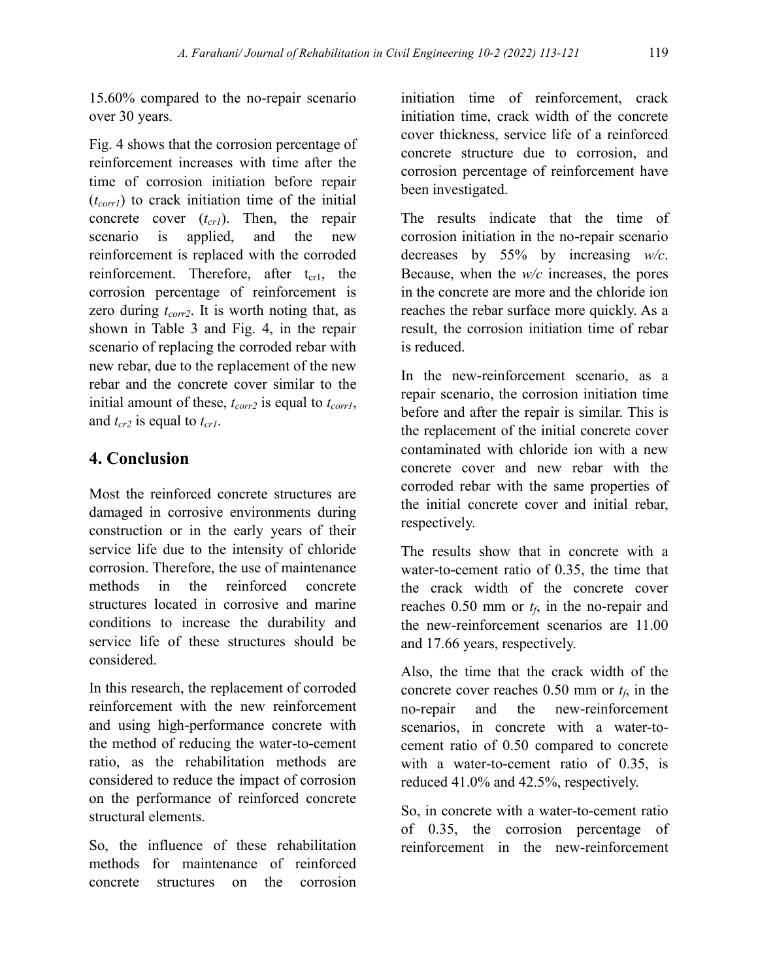15.60% compared to the no-repair scenario over 30 years.

Fig. 4 shows that the corrosion percentage of reinforcement increases with time after the time of corrosion initiation before repair (*tcorr1*) to crack initiation time of the initial concrete cover (*tcr1*). Then, the repair scenario is applied, and the new reinforcement is replaced with the corroded reinforcement. Therefore, after  $t_{cr1}$ , the corrosion percentage of reinforcement is zero during *tcorr2*. It is worth noting that, as shown in Table 3 and Fig. 4, in the repair scenario of replacing the corroded rebar with new rebar, due to the replacement of the new rebar and the concrete cover similar to the initial amount of these, *tcorr2* is equal to *tcorr1*, and *tcr2* is equal to *tcr1*.

## **4. Conclusion**

Most the reinforced concrete structures are damaged in corrosive environments during construction or in the early years of their service life due to the intensity of chloride corrosion. Therefore, the use of maintenance methods in the reinforced concrete structures located in corrosive and marine conditions to increase the durability and service life of these structures should be considered.

In this research, the replacement of corroded reinforcement with the new reinforcement and using high-performance concrete with the method of reducing the water-to-cement ratio, as the rehabilitation methods are considered to reduce the impact of corrosion on the performance of reinforced concrete structural elements.

So, the influence of these rehabilitation methods for maintenance of reinforced concrete structures on the corrosion initiation time of reinforcement, crack initiation time, crack width of the concrete cover thickness, service life of a reinforced concrete structure due to corrosion, and corrosion percentage of reinforcement have been investigated.

The results indicate that the time of corrosion initiation in the no-repair scenario decreases by 55% by increasing *w/c*. Because, when the *w/c* increases, the pores in the concrete are more and the chloride ion reaches the rebar surface more quickly. As a result, the corrosion initiation time of rebar is reduced.

In the new-reinforcement scenario, as a repair scenario, the corrosion initiation time before and after the repair is similar. This is the replacement of the initial concrete cover contaminated with chloride ion with a new concrete cover and new rebar with the corroded rebar with the same properties of the initial concrete cover and initial rebar, respectively.

The results show that in concrete with a water-to-cement ratio of 0.35, the time that the crack width of the concrete cover reaches  $0.50$  mm or  $t_f$ , in the no-repair and the new-reinforcement scenarios are 11.00 and 17.66 years, respectively.

Also, the time that the crack width of the concrete cover reaches  $0.50$  mm or  $t_f$ , in the no-repair and the new-reinforcement scenarios, in concrete with a water-tocement ratio of 0.50 compared to concrete with a water-to-cement ratio of 0.35, is reduced 41.0% and 42.5%, respectively.

So, in concrete with a water-to-cement ratio of 0.35, the corrosion percentage of reinforcement in the new-reinforcement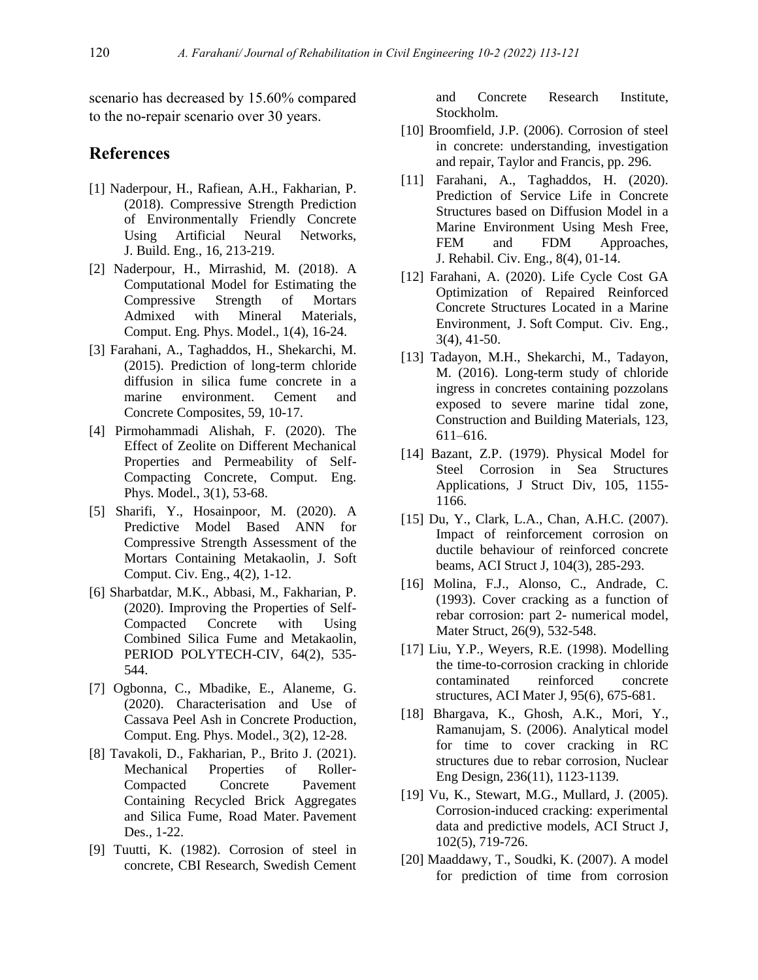scenario has decreased by 15.60% compared to the no-repair scenario over 30 years.

#### **References**

- [1] Naderpour, H., Rafiean, A.H., Fakharian, P. (2018). Compressive Strength Prediction of Environmentally Friendly Concrete Using Artificial Neural Networks, J. Build. Eng., 16, 213-219.
- [2] [Naderpour,](http://www.jcepm.com/?_action=article&au=327245&_au=Hosein++Naderpour) H., [Mirrashid,](http://www.jcepm.com/?_action=article&au=421989&_au=Masoomeh++Mirrashid) M. (2018). [A](http://www.jcepm.com/article_82850_3c4b109e69834b3711a857b435ad49e7.pdf)  [Computational Model for Estimating the](http://www.jcepm.com/article_82850_3c4b109e69834b3711a857b435ad49e7.pdf)  [Compressive Strength of Mortars](http://www.jcepm.com/article_82850_3c4b109e69834b3711a857b435ad49e7.pdf)  [Admixed with Mineral Materials,](http://www.jcepm.com/article_82850_3c4b109e69834b3711a857b435ad49e7.pdf) Comput. Eng. Phys. Model., 1(4), 16-24.
- [3] Farahani, A., Taghaddos, H., Shekarchi, M. (2015). Prediction of long-term chloride diffusion in silica fume concrete in a marine environment. Cement and Concrete Composites, 59, 10-17.
- [4] [Pirmohammadi Alishah,](http://www.jcepm.com/?_action=article&au=697645&_au=Farhad++Pirmohammadi+Alishah) F. (2020). [The](http://www.jcepm.com/article_105865_5e3056cf7607bb34b4fa672737ccd14f.pdf)  [Effect of Zeolite on Different Mechanical](http://www.jcepm.com/article_105865_5e3056cf7607bb34b4fa672737ccd14f.pdf)  [Properties and Permeability of Self-](http://www.jcepm.com/article_105865_5e3056cf7607bb34b4fa672737ccd14f.pdf)[Compacting Concrete,](http://www.jcepm.com/article_105865_5e3056cf7607bb34b4fa672737ccd14f.pdf) Comput. Eng. Phys. Model., 3(1), 53-68.
- [5] [Sharifi,](http://www.jsoftcivil.com/?_action=article&au=344659&_au=Yasser++Sharifi) Y., Hosainpoor, M. (2020). [A](http://www.jsoftcivil.com/article_105005_611d0de6a8f57c993057a60951f273dc.pdf)  [Predictive Model Based ANN for](http://www.jsoftcivil.com/article_105005_611d0de6a8f57c993057a60951f273dc.pdf)  [Compressive Strength Assessment of the](http://www.jsoftcivil.com/article_105005_611d0de6a8f57c993057a60951f273dc.pdf)  [Mortars Containing Metakaolin,](http://www.jsoftcivil.com/article_105005_611d0de6a8f57c993057a60951f273dc.pdf) J. Soft Comput. Civ. Eng., 4(2), 1-12.
- [6] Sharbatdar, M.K., Abbasi, M., Fakharian, P. (2020). Improving the Properties of Self-Compacted Concrete with Using Combined Silica Fume and Metakaolin, PERIOD POLYTECH-CIV, 64(2), 535- 544.
- [7] [Ogbonna,](http://www.jcepm.com/?_action=article&au=712136&_au=Chimmaobi++Ogbonna) C., Mbadike, E., Alaneme, G. (2020). [Characterisation and Use of](http://www.jcepm.com/article_105867_ab597981f676f3607e975f8c532fe1d1.pdf)  [Cassava Peel Ash in Concrete Production,](http://www.jcepm.com/article_105867_ab597981f676f3607e975f8c532fe1d1.pdf) Comput. Eng. Phys. Model., 3(2), 12-28.
- [8] Tavakoli, D., Fakharian, P., Brito J. (2021). Mechanical Properties of Roller-Compacted Concrete Pavement Containing Recycled Brick Aggregates and Silica Fume, Road Mater. Pavement Des., 1-22.
- [9] Tuutti, K. (1982). Corrosion of steel in concrete, CBI Research, Swedish Cement

and Concrete Research Institute, Stockholm.

- [10] Broomfield, J.P. (2006). Corrosion of steel in concrete: understanding, investigation and repair, Taylor and Francis, pp. 296.
- [11] Farahani, A., Taghaddos, H. (2020). Prediction of Service Life in Concrete Structures based on Diffusion Model in a Marine Environment Using Mesh Free, FEM and FDM Approaches, J. Rehabil. Civ. Eng., 8(4), 01-14.
- [12] Farahani, A. (2020). Life Cycle Cost GA Optimization of Repaired Reinforced Concrete Structures Located in a Marine Environment, J. Soft Comput. Civ. Eng., 3(4), 41-50.
- [13] Tadayon, M.H., Shekarchi, M., Tadayon, M. (2016). Long-term study of chloride ingress in concretes containing pozzolans exposed to severe marine tidal zone, Construction and Building Materials, 123, 611–616.
- [14] Bazant, Z.P. (1979). Physical Model for Steel Corrosion in Sea Structures Applications, J Struct Div, 105, 1155- 1166.
- [15] Du, Y., Clark, L.A., Chan, A.H.C. (2007). Impact of reinforcement corrosion on ductile behaviour of reinforced concrete beams, ACI Struct J, 104(3), 285-293.
- [16] Molina, F.J., Alonso, C., Andrade, C. (1993). Cover cracking as a function of rebar corrosion: part 2- numerical model, Mater Struct, 26(9), 532-548.
- [17] Liu, Y.P., Weyers, R.E. (1998). Modelling the time-to-corrosion cracking in chloride contaminated reinforced concrete structures, ACI Mater J, 95(6), 675-681.
- [18] Bhargava, K., Ghosh, A.K., Mori, Y., Ramanujam, S. (2006). Analytical model for time to cover cracking in RC structures due to rebar corrosion, Nuclear Eng Design, 236(11), 1123-1139.
- [19] Vu, K., Stewart, M.G., Mullard, J. (2005). Corrosion-induced cracking: experimental data and predictive models, ACI Struct J, 102(5), 719-726.
- [20] Maaddawy, T., Soudki, K. (2007). A model for prediction of time from corrosion